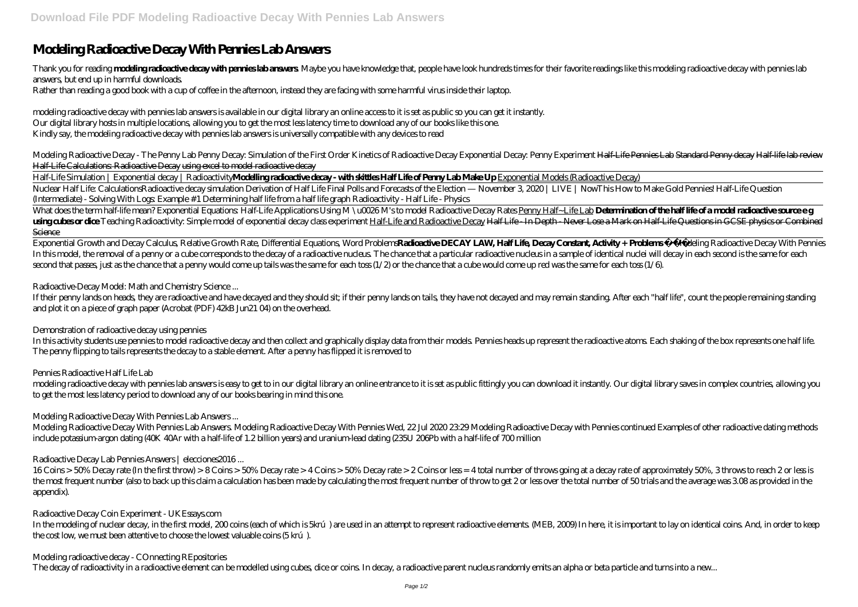# **Modeling Radioactive Decay With Pennies Lab Answers**

Thank you for reading **modeling radioactive decay with permies lab answers** Maybe you have knowledge that, people have look hundreds times for their favorite readings like this modeling radioactive decay with pennies lab answers, but end up in harmful downloads.

Rather than reading a good book with a cup of coffee in the afternoon, instead they are facing with some harmful virus inside their laptop.

modeling radioactive decay with pennies lab answers is available in our digital library an online access to it is set as public so you can get it instantly. Our digital library hosts in multiple locations, allowing you to get the most less latency time to download any of our books like this one. Kindly say, the modeling radioactive decay with pennies lab answers is universally compatible with any devices to read

Nuclear Half Life: CalculationsRadioactive decay simulation Derivation of Half Life Final Polls and Forecasts of the Election — November 3 2020 | LIVE | NowThis How to Make Gold Pennies! Half-Life Question *(Intermediate) - Solving With Logs: Example #1 Determining half life from a half life graph Radioactivity - Half Life - Physics*

What does the term half-life mean? Exponential Equations: Half-Life Applications Using M \u0026M's to model Radioactive Decay Rates <u>Penny Half~Life Lab</u> **Determination of the half life of a model radioactive source e g** using cubes or dice Teaching Radioactivity. Simple model of exponential decay class experiment Half-Life and Radioactive Decay Half-Life - In Depth - Never Lose a Mark on Half-Life Questions in GCSE physics or Combined **Science** 

Modeling Radioactive Decay - The Penny Lab Penny Decay: Simulation of the First Order Kinetics of Radioactive Decay *Exponential Decay: Penny Experiment* Half-Life Pennies Lab Standard Penny decay Half-life lab review Half-Life Calculations: Radioactive Decay using excel to model radioactive decay

Exponential Growth and Decay Calculus, Relative Growth Rate, Differential Equations, Word Problems**Radioactive DECAY LAW, Half Life, Decay Constant, Activity + Problems** *Modeling Radioactive Decay With Pennies* In this model, the removal of a penny or a cube corresponds to the decay of a radioactive nuclear advantual and particular radioactive nucleus in a sample of identical nuclei will decay in each second is the same for each second that passes, just as the chance that a penny would come up tails was the same for each toss (1/2) or the chance that a cube would come up red was the same for each toss (1/6).

Half-Life Simulation | Exponential decay | Radioactivity**Modelling radioactive decay - with skittles Half Life of Penny Lab Make Up** Exponential Models (Radioactive Decay)

If their penny lands on heads they are radioactive and have decayed and they should sit; if their penny lands on tails, they have not decayed and may remain standing. After each "half life", count the people remaining stan and plot it on a piece of graph paper (Acrobat (PDF) 42kB Jun21 04) on the overhead.

In this activity students use pennies to model radioactive decay and then collect and graphically display data from their models. Pennies heads up represent the radioactive atoms. Each shaking of the box represents one hal The penny flipping to tails represents the decay to a stable element. After a penny has flipped it is removed to

modeling radioactive decay with pennies lab answers is easy to get to in our digital library an online entrance to it is set as public fittingly you can download it instantly. Our digital library saves in complex countries to get the most less latency period to download any of our books bearing in mind this one.

In the modeling of nuclear decay, in the first model, 200 coins (each of which is 5krú) are used in an attempt to represent radioactive elements. (MEB, 2009) In here, it is important to lay on identical coins. And, in orde the cost low, we must been attentive to choose the lowest valuable coins (5 krú).

*Radioactive-Decay Model: Math and Chemistry Science ...*

# *Demonstration of radioactive decay using pennies*

# *Pennies Radioactive Half Life Lab*

# *Modeling Radioactive Decay With Pennies Lab Answers ...*

Modeling Radioactive Decay With Pennies Lab Answers. Modeling Radioactive Decay With Pennies Wed, 22 Jul 2020 23:29 Modeling Radioactive Decay with Pennies continued Examples of other radioactive dating methods include potassium-argon dating (40K 40Ar with a half-life of 1.2 billion years) and uranium-lead dating (235U 206Pb with a half-life of 700 million

# *Radioactive Decay Lab Pennies Answers | elecciones2016 ...*

16 Coins > 50% Decay rate (In the first throw) > 8 Coins > 50% Decay rate > 4 Coins > 50% Decay rate > 2 Coins or less = 4 total number of throws going at a decay rate of approximately 50%, 3 throws to reach 2 or less is the most frequent number (also to back up this claim a calculation has been made by calculating the most frequent number of throw to get 2 or less over the total number of 50 trials and the average was 308 as provided in t appendix).

#### *Radioactive Decay Coin Experiment - UKEssays.com*

# *Modeling radioactive decay - COnnecting REpositories*

The decay of radioactivity in a radioactive element can be modelled using cubes, dice or coins. In decay, a radioactive parent nucleus randomly emits an alpha or beta particle and turns into a new...